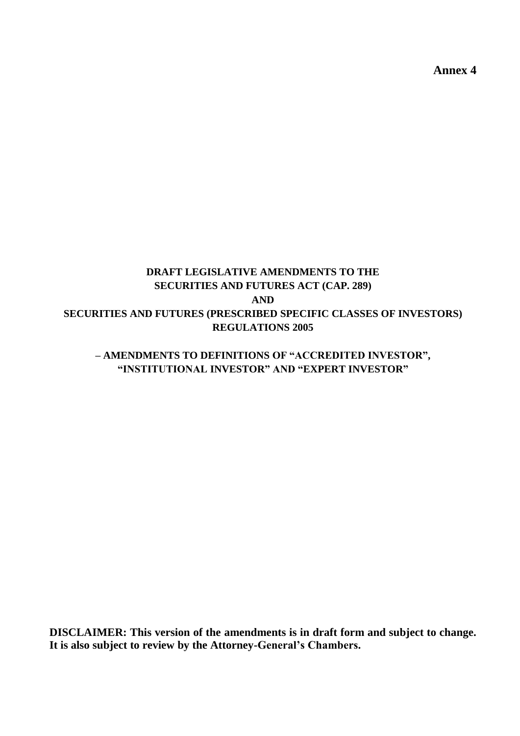**Annex 4**

# **DRAFT LEGISLATIVE AMENDMENTS TO THE SECURITIES AND FUTURES ACT (CAP. 289) AND SECURITIES AND FUTURES (PRESCRIBED SPECIFIC CLASSES OF INVESTORS) REGULATIONS 2005**

# **– AMENDMENTS TO DEFINITIONS OF "ACCREDITED INVESTOR", "INSTITUTIONAL INVESTOR" AND "EXPERT INVESTOR"**

**DISCLAIMER: This version of the amendments is in draft form and subject to change. It is also subject to review by the Attorney-General's Chambers.**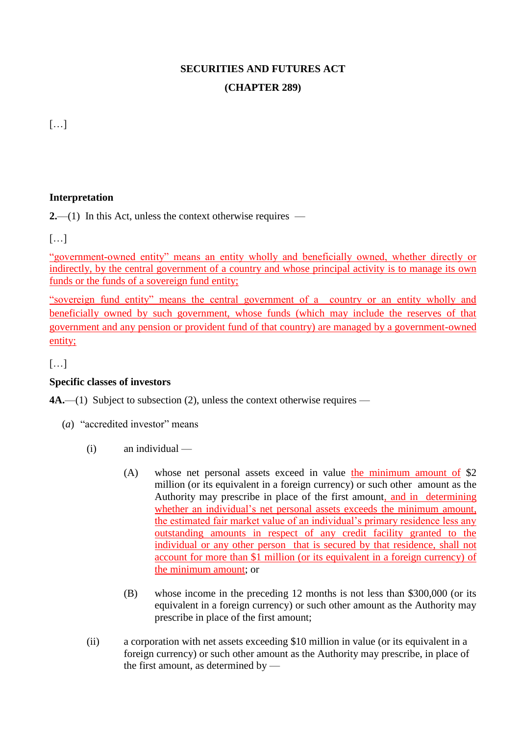# **SECURITIES AND FUTURES ACT (CHAPTER 289)**

[…]

# **Interpretation**

**2.**—(1) In this Act, unless the context otherwise requires —

 $\left[\ldots\right]$ 

"government-owned entity" means an entity wholly and beneficially owned, whether directly or indirectly, by the central government of a country and whose principal activity is to manage its own funds or the funds of a sovereign fund entity;

"sovereign fund entity" means the central government of a country or an entity wholly and beneficially owned by such government, whose funds (which may include the reserves of that government and any pension or provident fund of that country) are managed by a government-owned entity;

[…]

# **Specific classes of investors**

**4A.**—(1) Subject to subsection (2), unless the context otherwise requires —

- (*a*) "accredited investor" means
	- (i) an individual
		- (A) whose net personal assets exceed in value the minimum amount of \$2 million (or its equivalent in a foreign currency) or such other amount as the Authority may prescribe in place of the first amount, and in determining whether an individual's net personal assets exceeds the minimum amount, the estimated fair market value of an individual's primary residence less any outstanding amounts in respect of any credit facility granted to the individual or any other person that is secured by that residence, shall not account for more than \$1 million (or its equivalent in a foreign currency) of the minimum amount; or
		- (B) whose income in the preceding 12 months is not less than \$300,000 (or its equivalent in a foreign currency) or such other amount as the Authority may prescribe in place of the first amount;
	- (ii) a corporation with net assets exceeding \$10 million in value (or its equivalent in a foreign currency) or such other amount as the Authority may prescribe, in place of the first amount, as determined by —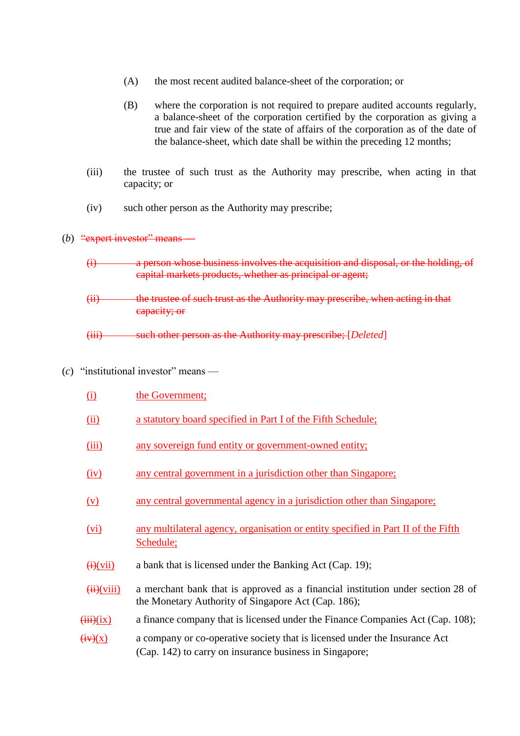- (A) the most recent audited balance-sheet of the corporation; or
- (B) where the corporation is not required to prepare audited accounts regularly, a balance-sheet of the corporation certified by the corporation as giving a true and fair view of the state of affairs of the corporation as of the date of the balance-sheet, which date shall be within the preceding 12 months;
- (iii) the trustee of such trust as the Authority may prescribe, when acting in that capacity; or
- (iv) such other person as the Authority may prescribe;

#### (b)  $\frac{a}{2}$  expert investor" means

- (i) a person whose business involves the acquisition and disposal, or the holding, of capital markets products, whether as principal or agent;
- (ii) the trustee of such trust as the Authority may prescribe, when acting in that capacity; or
- (iii) such other person as the Authority may prescribe; [*Deleted*]
- $(c)$  "institutional investor" means
	- (i) the Government; (ii) a statutory board specified in Part I of the Fifth Schedule; (iii) any sovereign fund entity or government-owned entity; (iv) any central government in a jurisdiction other than Singapore; (v) any central governmental agency in a jurisdiction other than Singapore; (vi) any multilateral agency, organisation or entity specified in Part II of the Fifth Schedule;  $\overrightarrow{(i)}$ (vii) a bank that is licensed under the Banking Act (Cap. 19);  $(ii)(viii)$  a merchant bank that is approved as a financial institution under section 28 of the Monetary Authority of Singapore Act (Cap. 186);  $(iii)(ix)$  a finance company that is licensed under the Finance Companies Act (Cap. 108);  $\overrightarrow{(iv)}(x)$  a company or co-operative society that is licensed under the Insurance Act (Cap. 142) to carry on insurance business in Singapore;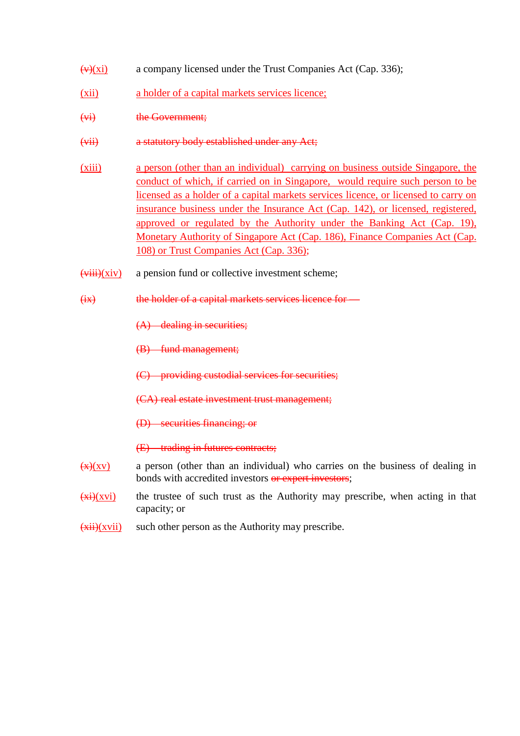- $\overline{(v)}(xi)$  a company licensed under the Trust Companies Act (Cap. 336);
- (xii) a holder of a capital markets services licence;
- (vi) the Government;
- (vii) a statutory body established under any Act;
- (xiii) a person (other than an individual) carrying on business outside Singapore, the conduct of which, if carried on in Singapore, would require such person to be licensed as a holder of a capital markets services licence, or licensed to carry on insurance business under the Insurance Act (Cap. 142), or licensed, registered, approved or regulated by the Authority under the Banking Act (Cap. 19), Monetary Authority of Singapore Act (Cap. 186), Finance Companies Act (Cap. 108) or Trust Companies Act (Cap. 336);
- $(viii)(xiv)$  a pension fund or collective investment scheme;
- (ix) the holder of a capital markets services licence for —

(A) dealing in securities;

(B) fund management;

- (C) providing custodial services for securities;
- (CA) real estate investment trust management;
- (D) securities financing; or

(E) trading in futures contracts;

- $\frac{f(x)}{x}$  a person (other than an individual) who carries on the business of dealing in bonds with accredited investors or expert investors;
- $\frac{f(x)}{f(x)}$  the trustee of such trust as the Authority may prescribe, when acting in that capacity; or
- $\overrightarrow{(\text{xii})}(\text{xvii})$  such other person as the Authority may prescribe.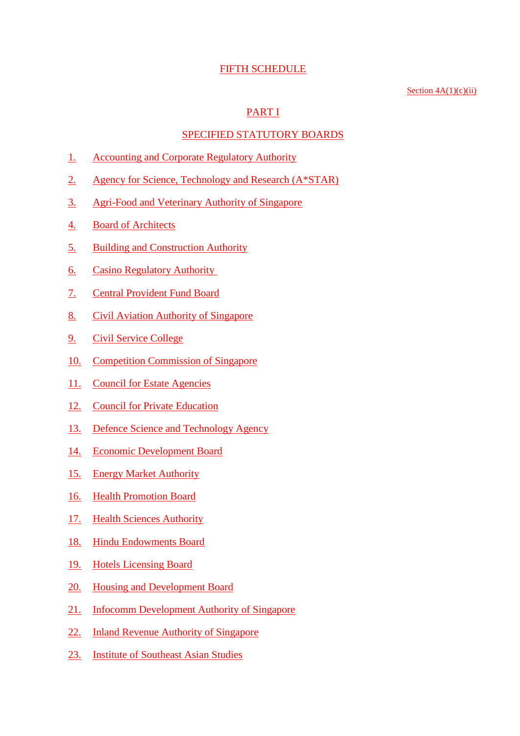#### FIFTH SCHEDULE

#### Section  $4A(1)(c)(ii)$

## PART I

#### SPECIFIED STATUTORY BOARDS

- 1. Accounting and Corporate Regulatory Authority
- 2. Agency for Science, Technology and Research (A\*STAR)
- 3. Agri-Food and Veterinary Authority of Singapore
- 4. Board of Architects
- 5. Building and Construction Authority
- 6. Casino Regulatory Authority
- 7. Central Provident Fund Board
- 8. Civil Aviation Authority of Singapore
- 9. Civil Service College
- 10. Competition Commission of Singapore
- 11. Council for Estate Agencies
- 12. Council for Private Education
- 13. Defence Science and Technology Agency
- 14. Economic Development Board
- 15. Energy Market Authority
- 16. Health Promotion Board
- 17. Health Sciences Authority
- 18. Hindu Endowments Board
- 19. Hotels Licensing Board
- 20. Housing and Development Board
- 21. Infocomm Development Authority of Singapore
- 22. Inland Revenue Authority of Singapore
- 23. Institute of Southeast Asian Studies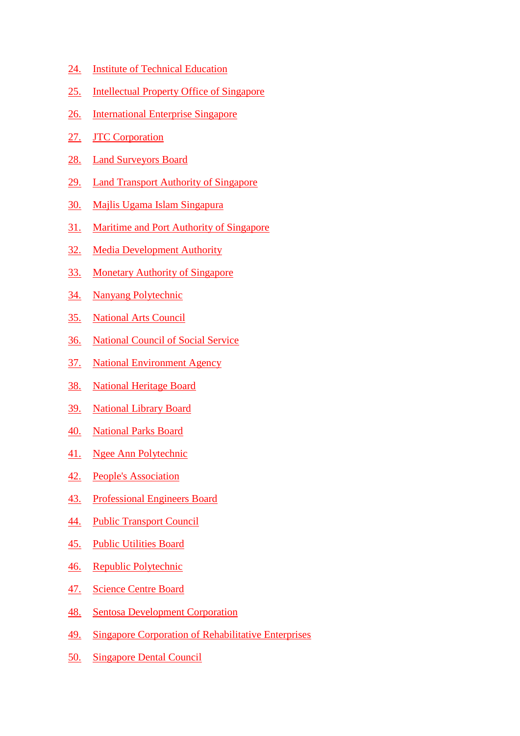- 24. Institute of Technical Education
- 25. Intellectual Property Office of Singapore
- 26. International Enterprise Singapore
- 27. **JTC Corporation**
- 28. Land Surveyors Board
- 29. Land Transport Authority of Singapore
- 30. Majlis Ugama Islam Singapura
- 31. Maritime and Port Authority of Singapore
- 32. Media Development Authority
- 33. Monetary Authority of Singapore
- 34. Nanyang Polytechnic
- 35. National Arts Council
- 36. National Council of Social Service
- 37. National Environment Agency
- 38. National Heritage Board
- 39. National Library Board
- 40. National Parks Board
- 41. Ngee Ann Polytechnic
- 42. People's Association
- 43. Professional Engineers Board
- 44. Public Transport Council
- 45. Public Utilities Board
- 46. Republic Polytechnic
- 47. Science Centre Board
- 48. Sentosa Development Corporation
- 49. Singapore Corporation of Rehabilitative Enterprises
- 50. Singapore Dental Council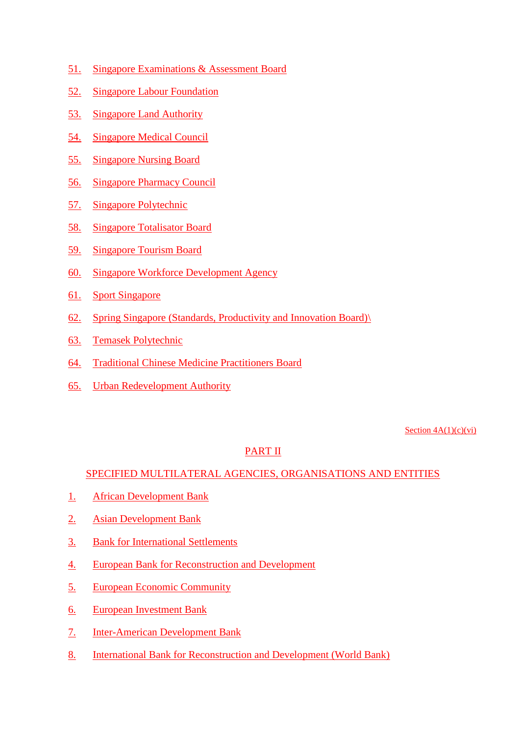- 51. Singapore Examinations & Assessment Board
- 52. Singapore Labour Foundation
- 53. Singapore Land Authority
- 54. Singapore Medical Council
- 55. Singapore Nursing Board
- 56. Singapore Pharmacy Council
- 57. Singapore Polytechnic
- 58. Singapore Totalisator Board
- 59. Singapore Tourism Board
- 60. Singapore Workforce Development Agency
- 61. Sport Singapore
- 62. Spring Singapore (Standards, Productivity and Innovation Board)\
- 63. Temasek Polytechnic
- 64. Traditional Chinese Medicine Practitioners Board
- 65. Urban Redevelopment Authority

Section  $4A(1)(c)(vi)$ 

#### PART II

## SPECIFIED MULTILATERAL AGENCIES, ORGANISATIONS AND ENTITIES

- 1. African Development Bank
- 2. Asian Development Bank
- 3. Bank for International Settlements
- 4. European Bank for Reconstruction and Development
- 5. European Economic Community
- 6. European Investment Bank
- 7. Inter-American Development Bank
- 8. International Bank for Reconstruction and Development (World Bank)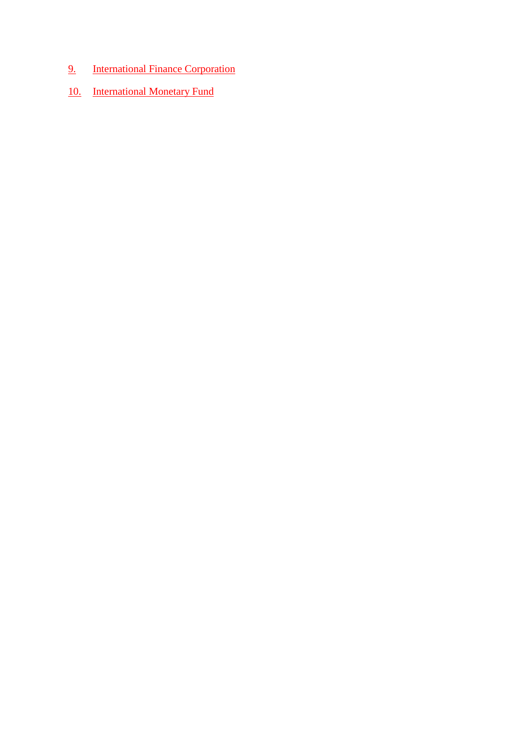- 9. International Finance Corporation
- 10. International Monetary Fund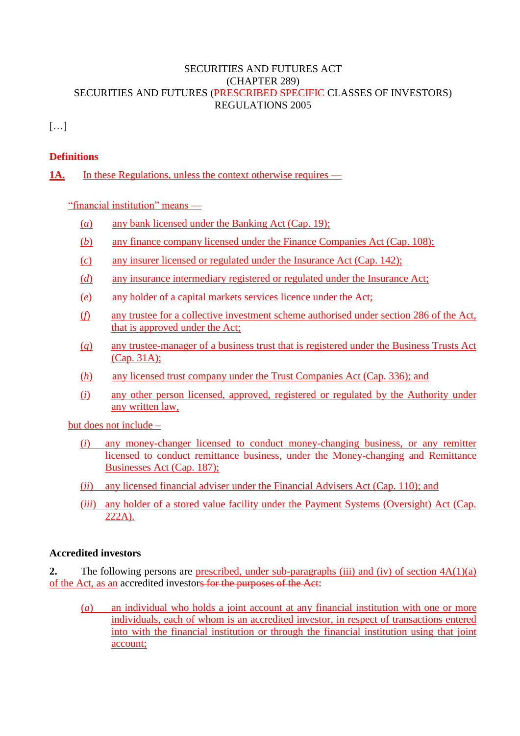## SECURITIES AND FUTURES ACT [\(CHAPTER 289\)](http://statutes.agc.gov.sg/aol/search/display/view.w3p;page=0;query=DocId%3A%2225de2ec3-ac8e-44bf-9c88-927bf7eca056%22%20Status%3Ainforce%20Depth%3A0;rec=0) SECURITIES AND FUTURES (PRESCRIBED SPECIFIC CLASSES OF INVESTORS) REGULATIONS 2005

[…]

## **Definitions**

1A. In these Regulations, unless the context otherwise requires —

"financial institution" means —

- (*a*) any bank licensed under the Banking Act (Cap. 19);
- (*b*) any finance company licensed under the Finance Companies Act (Cap. 108);
- (*c*) any insurer licensed or regulated under the Insurance Act (Cap. 142);
- (*d*) any insurance intermediary registered or regulated under the Insurance Act;
- (*e*) any holder of a capital markets services licence under the Act;
- (*f*) any trustee for a collective investment scheme authorised under section 286 of the Act, that is approved under the Act;
- (*g*) any trustee-manager of a business trust that is registered under the Business Trusts Act (Cap. 31A);
- (*h*) any licensed trust company under the Trust Companies Act (Cap. 336); and
- (*i*) any other person licensed, approved, registered or regulated by the Authority under any written law,

but does not include –

- (*i*) any money-changer licensed to conduct money-changing business, or any remitter licensed to conduct remittance business, under the Money-changing and Remittance Businesses Act (Cap. 187);
- (*ii*) any licensed financial adviser under the Financial Advisers Act (Cap. 110); and
- (*iii*) any holder of a stored value facility under the Payment Systems (Oversight) Act (Cap. 222A).

## **Accredited investors**

**2.** The following persons are prescribed, under sub-paragraphs (iii) and (iv) of section  $4A(1)(a)$ of the Act, as an accredited investors for the purposes of the Act:

(*a*) an individual who holds a joint account at any financial institution with one or more individuals, each of whom is an accredited investor, in respect of transactions entered into with the financial institution or through the financial institution using that joint account;